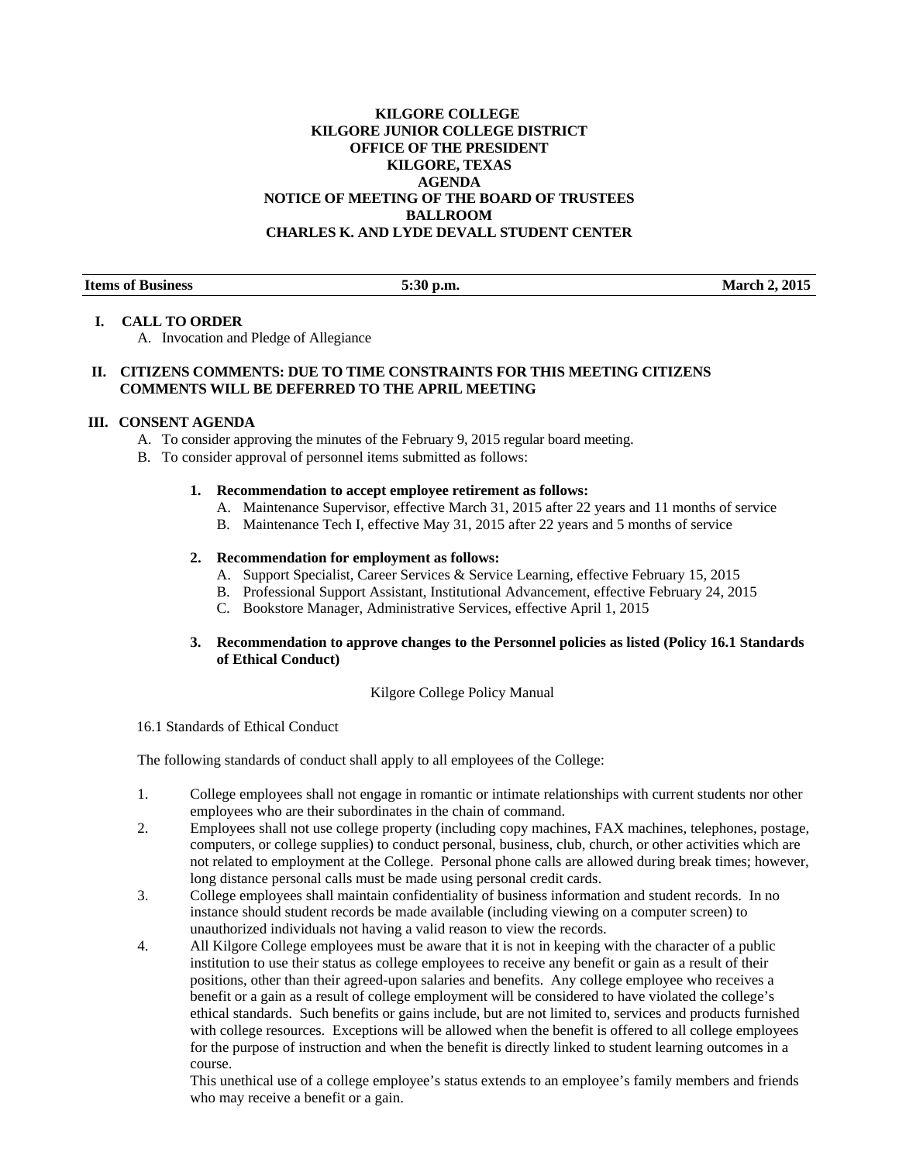# **KILGORE COLLEGE KILGORE JUNIOR COLLEGE DISTRICT OFFICE OF THE PRESIDENT KILGORE, TEXAS AGENDA NOTICE OF MEETING OF THE BOARD OF TRUSTEES BALLROOM CHARLES K. AND LYDE DEVALL STUDENT CENTER**

**Items of Business 5:30 p.m.** 5:30 p.m. March 2, 2015

### **I. CALL TO ORDER**

A. Invocation and Pledge of Allegiance

# **II. CITIZENS COMMENTS: DUE TO TIME CONSTRAINTS FOR THIS MEETING CITIZENS COMMENTS WILL BE DEFERRED TO THE APRIL MEETING**

# **III. CONSENT AGENDA**

- A. To consider approving the minutes of the February 9, 2015 regular board meeting.
- B. To consider approval of personnel items submitted as follows:

### **1. Recommendation to accept employee retirement as follows:**

- A. Maintenance Supervisor, effective March 31, 2015 after 22 years and 11 months of service
- B. Maintenance Tech I, effective May 31, 2015 after 22 years and 5 months of service

### **2. Recommendation for employment as follows:**

- A. Support Specialist, Career Services & Service Learning, effective February 15, 2015
- B. Professional Support Assistant, Institutional Advancement, effective February 24, 2015
- C. Bookstore Manager, Administrative Services, effective April 1, 2015

# **3. Recommendation to approve changes to the Personnel policies as listed (Policy 16.1 Standards of Ethical Conduct)**

# Kilgore College Policy Manual

16.1 Standards of Ethical Conduct

The following standards of conduct shall apply to all employees of the College:

- 1. College employees shall not engage in romantic or intimate relationships with current students nor other employees who are their subordinates in the chain of command.
- 2. Employees shall not use college property (including copy machines, FAX machines, telephones, postage, computers, or college supplies) to conduct personal, business, club, church, or other activities which are not related to employment at the College. Personal phone calls are allowed during break times; however, long distance personal calls must be made using personal credit cards.
- 3. College employees shall maintain confidentiality of business information and student records. In no instance should student records be made available (including viewing on a computer screen) to unauthorized individuals not having a valid reason to view the records.
- 4. All Kilgore College employees must be aware that it is not in keeping with the character of a public institution to use their status as college employees to receive any benefit or gain as a result of their positions, other than their agreed-upon salaries and benefits. Any college employee who receives a benefit or a gain as a result of college employment will be considered to have violated the college's ethical standards. Such benefits or gains include, but are not limited to, services and products furnished with college resources. Exceptions will be allowed when the benefit is offered to all college employees for the purpose of instruction and when the benefit is directly linked to student learning outcomes in a course.

 This unethical use of a college employee's status extends to an employee's family members and friends who may receive a benefit or a gain.